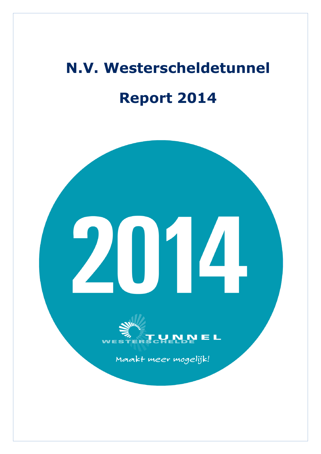# **N.V. Westerscheldetunnel Report 2014**

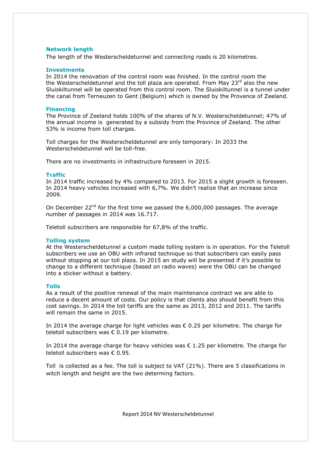# **Network length**

The length of the Westerscheldetunnel and connecting roads is 20 kilometres.

#### **Investments**

In 2014 the renovation of the control room was finished. In the control room the the Westerscheldetunnel and the toll plaza are operated. From May 23 $^{\text{rd}}$  also the new Sluiskiltunnel will be operated from this control room. The Sluiskiltunnel is a tunnel under the canal from Terneuzen to Gent (Belgium) which is owned by the Provence of Zeeland.

#### **Financing**

The Province of Zeeland holds 100% of the shares of N.V. Westerscheldetunnel; 47% of the annual income is generated by a subsidy from the Province of Zeeland. The other 53% is income from toll charges.

Toll charges for the Westerscheldetunnel are only temporary: In 2033 the Westerscheldetunnel will be toll-free.

There are no investments in infrastructure foreseen in 2015.

### **Traffic**

In 2014 traffic increased by 4% compared to 2013. For 2015 a slight growth is foreseen. In 2014 heavy vehicles increased with 6,7%. We didn't realize that an increase since 2009.

On December 22<sup>nd</sup> for the first time we passed the  $6,000,000$  passages. The average number of passages in 2014 was 16.717.

Teletoll subscribers are responsible for 67,8% of the traffic.

#### **Tolling system**

At the Westerscheldetunnel a custom made tolling system is in operation. For the Teletoll subscribers we use an OBU with infrared technique so that subscribers can easily pass without stopping at our toll plaza. In 2015 an study will be presented if it's possible to change to a different technique (based on radio waves) were the OBU can be changed into a sticker without a battery.

#### **Tolls**

As a result of the positive renewal of the main maintenance contract we are able to reduce a decent amount of costs. Our policy is that clients also should benefit from this cost savings. In 2014 the toll tariffs are the same as 2013, 2012 and 2011. The tariffs will remain the same in 2015.

In 2014 the average charge for light vehicles was  $\epsilon$  0.25 per kilometre. The charge for teletoll subscribers was € 0.19 per kilometre.

In 2014 the average charge for heavy vehicles was  $\epsilon$  1.25 per kilometre. The charge for teletoll subscribers was € 0.95.

Toll is collected as a fee. The toll is subject to VAT (21%). There are 5 classifications in witch length and height are the two determing factors.

Report 2014 NV Westerscheldetunnel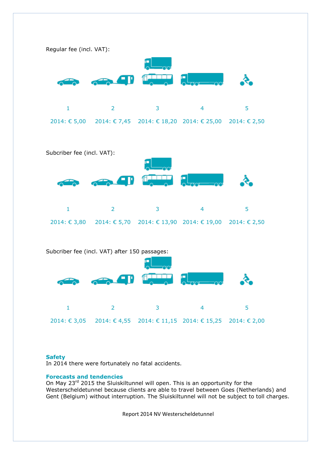





# **Safety**

In 2014 there were fortunately no fatal accidents.

# **Forecasts and tendencies**

On May 23<sup>rd</sup> 2015 the Sluiskiltunnel will open. This is an opportunity for the Westerscheldetunnel because clients are able to travel between Goes (Netherlands) and Gent (Belgium) without interruption. The Sluiskiltunnel will not be subject to toll charges.

Report 2014 NV Westerscheldetunnel